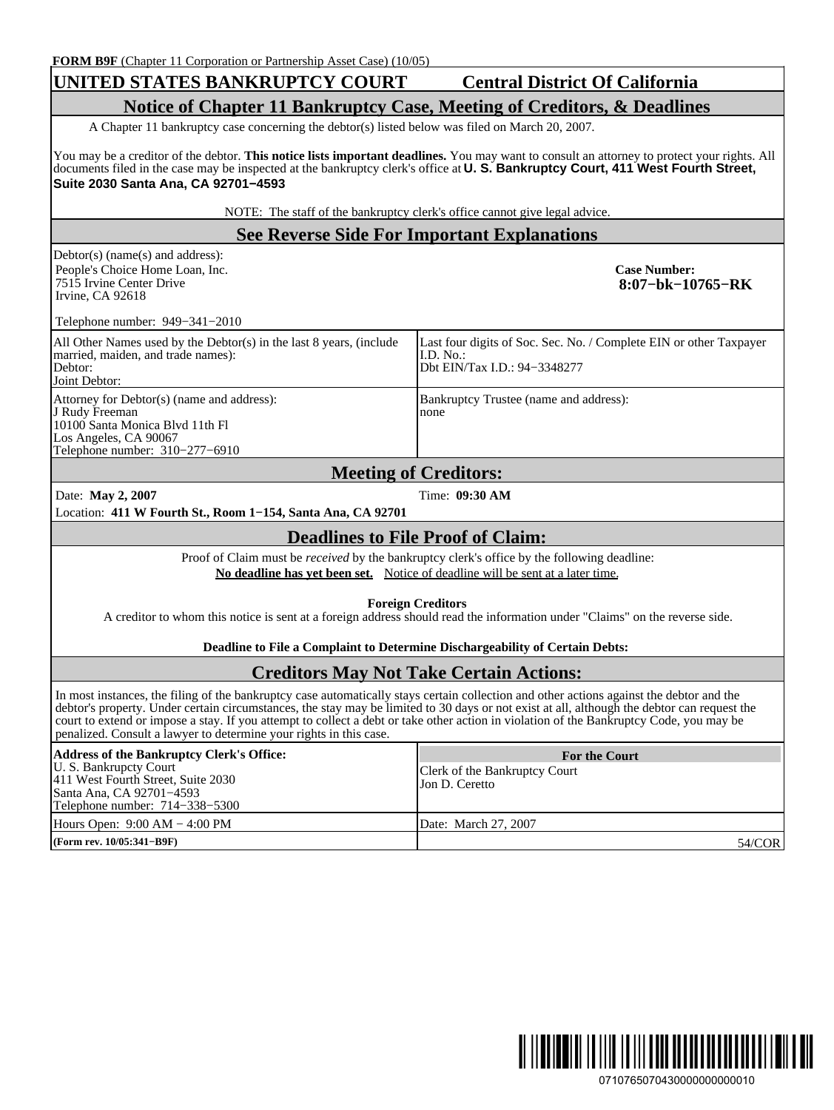## **UNITED STATES BANKRUPTCY COURT Central District Of California**

# **Notice of Chapter 11 Bankruptcy Case, Meeting of Creditors, & Deadlines**

A Chapter 11 bankruptcy case concerning the debtor(s) listed below was filed on March 20, 2007.

You may be a creditor of the debtor. **This notice lists important deadlines.** You may want to consult an attorney to protect your rights. All documents filed in the case may be inspected at the bankruptcy clerk's office at **U. S. Bankruptcy Court, 411 West Fourth Street, Suite 2030 Santa Ana, CA 92701−4593**

NOTE: The staff of the bankruptcy clerk's office cannot give legal advice.

## **See Reverse Side For Important Explanations**

Debtor(s) (name(s) and address): People's Choice Home Loan, Inc. 7515 Irvine Center Drive Irvine, CA 92618

**Case Number: 8:07−bk−10765−RK**

Telephone number: 949−341−2010

| All Other Names used by the Debtor(s) in the last 8 years, (include<br>married, maiden, and trade names):<br>Debtor:<br>Joint Debtor:                        | Last four digits of Soc. Sec. No. / Complete EIN or other Taxpayer<br>LD. No.:<br>Dbt EIN/Tax I.D.: 94–3348277 |
|--------------------------------------------------------------------------------------------------------------------------------------------------------------|----------------------------------------------------------------------------------------------------------------|
| Attorney for Debtor(s) (name and address):<br>J Rudy Freeman<br>10100 Santa Monica Blvd 11th Fl<br>Los Angeles, CA 90067<br>Telephone number: $310-277-6910$ | Bankruptcy Trustee (name and address):<br>none                                                                 |

#### **Meeting of Creditors:** Date: **May 2, 2007** Time: **09:30 AM**

Location: **411 W Fourth St., Room 1−154, Santa Ana, CA 92701**

#### **Deadlines to File Proof of Claim:**

Proof of Claim must be *received* by the bankruptcy clerk's office by the following deadline: **No deadline has yet been set.** Notice of deadline will be sent at a later time.

**Foreign Creditors**

A creditor to whom this notice is sent at a foreign address should read the information under "Claims" on the reverse side.

**Deadline to File a Complaint to Determine Dischargeability of Certain Debts:**

#### **Creditors May Not Take Certain Actions:**

In most instances, the filing of the bankruptcy case automatically stays certain collection and other actions against the debtor and the debtor's property. Under certain circumstances, the stay may be limited to 30 days or not exist at all, although the debtor can request the court to extend or impose a stay. If you attempt to collect a debt or take other action in violation of the Bankruptcy Code, you may be penalized. Consult a lawyer to determine your rights in this case.

| Address of the Bankruptcy Clerk's Office:<br>U. S. Bankrupcty Court<br>411 West Fourth Street, Suite 2030<br>Santa Ana, CA 92701-4593<br>Telephone number: 714–338–5300 | <b>For the Court</b><br>Clerk of the Bankruptcy Court<br>Jon D. Ceretto |
|-------------------------------------------------------------------------------------------------------------------------------------------------------------------------|-------------------------------------------------------------------------|
| Hours Open: $9:00 AM - 4:00 PM$                                                                                                                                         | Date: March 27, 2007                                                    |
| (Form rev. 10/05:341–B9F)                                                                                                                                               | 54/COR                                                                  |